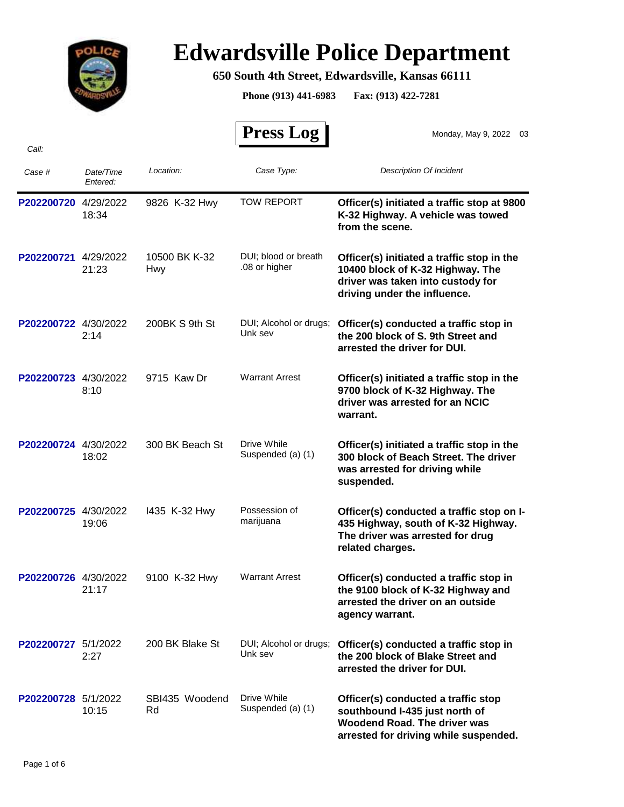

## **Edwardsville Police Department**

## **650 South 4th Street, Edwardsville, Kansas 66111**

**Phone (913) 441-6983 Fax: (913) 422-7281**

| Call:                |                       |                             | <b>Press Log</b>                      | Monday, May 9, 2022 03                                                                                                                                |
|----------------------|-----------------------|-----------------------------|---------------------------------------|-------------------------------------------------------------------------------------------------------------------------------------------------------|
| Case #               | Date/Time<br>Entered: | Location:                   | Case Type:                            | Description Of Incident                                                                                                                               |
| P202200720           | 4/29/2022<br>18:34    | 9826 K-32 Hwy               | <b>TOW REPORT</b>                     | Officer(s) initiated a traffic stop at 9800<br>K-32 Highway. A vehicle was towed<br>from the scene.                                                   |
| P202200721           | 4/29/2022<br>21:23    | 10500 BK K-32<br><b>Hwy</b> | DUI; blood or breath<br>.08 or higher | Officer(s) initiated a traffic stop in the<br>10400 block of K-32 Highway. The<br>driver was taken into custody for<br>driving under the influence.   |
| P202200722 4/30/2022 | 2:14                  | 200BK S 9th St              | DUI; Alcohol or drugs;<br>Unk sev     | Officer(s) conducted a traffic stop in<br>the 200 block of S. 9th Street and<br>arrested the driver for DUI.                                          |
| P202200723           | 4/30/2022<br>8:10     | 9715 Kaw Dr                 | <b>Warrant Arrest</b>                 | Officer(s) initiated a traffic stop in the<br>9700 block of K-32 Highway. The<br>driver was arrested for an NCIC<br>warrant.                          |
| P202200724 4/30/2022 | 18:02                 | 300 BK Beach St             | Drive While<br>Suspended (a) (1)      | Officer(s) initiated a traffic stop in the<br>300 block of Beach Street. The driver<br>was arrested for driving while<br>suspended.                   |
| P202200725 4/30/2022 | 19:06                 | 1435 K-32 Hwy               | Possession of<br>marijuana            | Officer(s) conducted a traffic stop on I-<br>435 Highway, south of K-32 Highway.<br>The driver was arrested for drug<br>related charges.              |
| P202200726 4/30/2022 | 21:17                 | 9100 K-32 Hwy               | <b>Warrant Arrest</b>                 | Officer(s) conducted a traffic stop in<br>the 9100 block of K-32 Highway and<br>arrested the driver on an outside<br>agency warrant.                  |
| P202200727 5/1/2022  | 2:27                  | 200 BK Blake St             | DUI; Alcohol or drugs;<br>Unk sev     | Officer(s) conducted a traffic stop in<br>the 200 block of Blake Street and<br>arrested the driver for DUI.                                           |
| P202200728 5/1/2022  | 10:15                 | SBI435 Woodend<br>Rd        | Drive While<br>Suspended (a) (1)      | Officer(s) conducted a traffic stop<br>southbound I-435 just north of<br><b>Woodend Road. The driver was</b><br>arrested for driving while suspended. |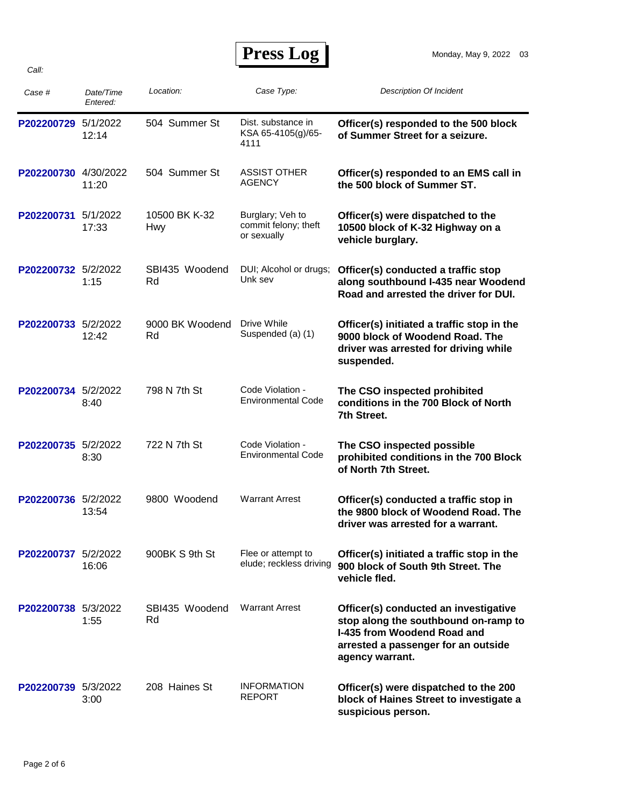**Press Log** 

| Case #               | Date/Time<br>Entered: | Location:             | Case Type:                                              | <b>Description Of Incident</b>                                                                                                                                         |
|----------------------|-----------------------|-----------------------|---------------------------------------------------------|------------------------------------------------------------------------------------------------------------------------------------------------------------------------|
| P202200729 5/1/2022  | 12:14                 | 504 Summer St         | Dist. substance in<br>KSA 65-4105(g)/65-<br>4111        | Officer(s) responded to the 500 block<br>of Summer Street for a seizure.                                                                                               |
| P202200730 4/30/2022 | 11:20                 | 504 Summer St         | <b>ASSIST OTHER</b><br><b>AGENCY</b>                    | Officer(s) responded to an EMS call in<br>the 500 block of Summer ST.                                                                                                  |
| P202200731 5/1/2022  | 17:33                 | 10500 BK K-32<br>Hwy  | Burglary; Veh to<br>commit felony; theft<br>or sexually | Officer(s) were dispatched to the<br>10500 block of K-32 Highway on a<br>vehicle burglary.                                                                             |
| P202200732 5/2/2022  | 1:15                  | SBI435 Woodend<br>Rd  | DUI; Alcohol or drugs;<br>Unk sev                       | Officer(s) conducted a traffic stop<br>along southbound I-435 near Woodend<br>Road and arrested the driver for DUI.                                                    |
| P202200733 5/2/2022  | 12:42                 | 9000 BK Woodend<br>Rd | Drive While<br>Suspended (a) (1)                        | Officer(s) initiated a traffic stop in the<br>9000 block of Woodend Road. The<br>driver was arrested for driving while<br>suspended.                                   |
| P202200734 5/2/2022  | 8:40                  | 798 N 7th St          | Code Violation -<br><b>Environmental Code</b>           | The CSO inspected prohibited<br>conditions in the 700 Block of North<br>7th Street.                                                                                    |
| P202200735 5/2/2022  | 8:30                  | 722 N 7th St          | Code Violation -<br><b>Environmental Code</b>           | The CSO inspected possible<br>prohibited conditions in the 700 Block<br>of North 7th Street.                                                                           |
| P202200736 5/2/2022  | 13:54                 | 9800 Woodend          | <b>Warrant Arrest</b>                                   | Officer(s) conducted a traffic stop in<br>the 9800 block of Woodend Road. The<br>driver was arrested for a warrant.                                                    |
| P202200737 5/2/2022  | 16:06                 | 900BK S 9th St        | Flee or attempt to<br>elude; reckless driving           | Officer(s) initiated a traffic stop in the<br>900 block of South 9th Street. The<br>vehicle fled.                                                                      |
| P202200738 5/3/2022  | 1:55                  | SBI435 Woodend<br>Rd  | <b>Warrant Arrest</b>                                   | Officer(s) conducted an investigative<br>stop along the southbound on-ramp to<br>I-435 from Woodend Road and<br>arrested a passenger for an outside<br>agency warrant. |
| P202200739 5/3/2022  | 3:00                  | 208 Haines St         | <b>INFORMATION</b><br><b>REPORT</b>                     | Officer(s) were dispatched to the 200<br>block of Haines Street to investigate a<br>suspicious person.                                                                 |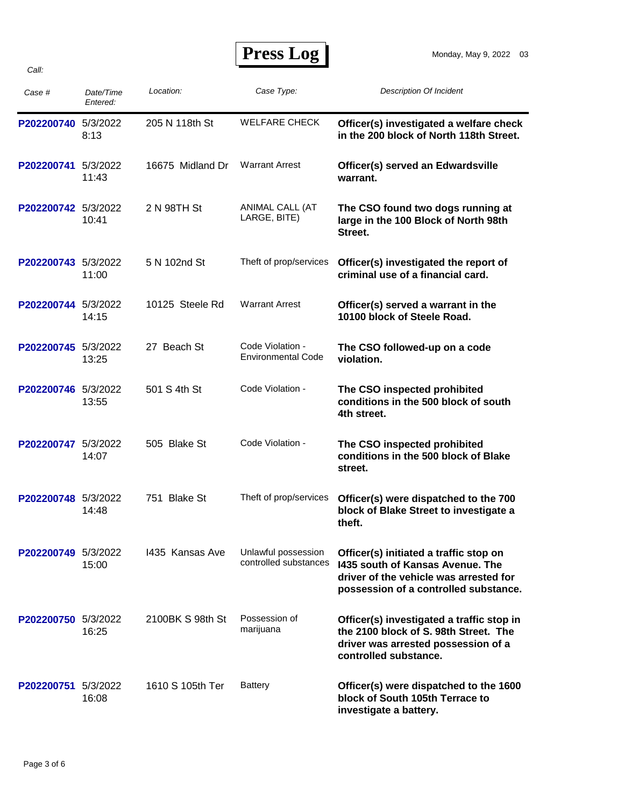| Case #              | Date/Time<br>Entered: | Location:        | Case Type:                                    | <b>Description Of Incident</b>                                                                                                                                |
|---------------------|-----------------------|------------------|-----------------------------------------------|---------------------------------------------------------------------------------------------------------------------------------------------------------------|
| P202200740 5/3/2022 | 8:13                  | 205 N 118th St   | <b>WELFARE CHECK</b>                          | Officer(s) investigated a welfare check<br>in the 200 block of North 118th Street.                                                                            |
| P202200741 5/3/2022 | 11:43                 | 16675 Midland Dr | <b>Warrant Arrest</b>                         | Officer(s) served an Edwardsville<br>warrant.                                                                                                                 |
| P202200742 5/3/2022 | 10:41                 | 2 N 98TH St      | ANIMAL CALL (AT<br>LARGE, BITE)               | The CSO found two dogs running at<br>large in the 100 Block of North 98th<br>Street.                                                                          |
| P202200743 5/3/2022 | 11:00                 | 5 N 102nd St     | Theft of prop/services                        | Officer(s) investigated the report of<br>criminal use of a financial card.                                                                                    |
| P202200744 5/3/2022 | 14:15                 | 10125 Steele Rd  | <b>Warrant Arrest</b>                         | Officer(s) served a warrant in the<br>10100 block of Steele Road.                                                                                             |
| P202200745 5/3/2022 | 13:25                 | 27 Beach St      | Code Violation -<br><b>Environmental Code</b> | The CSO followed-up on a code<br>violation.                                                                                                                   |
| P202200746 5/3/2022 | 13:55                 | 501 S 4th St     | Code Violation -                              | The CSO inspected prohibited<br>conditions in the 500 block of south<br>4th street.                                                                           |
| P202200747 5/3/2022 | 14:07                 | 505 Blake St     | Code Violation -                              | The CSO inspected prohibited<br>conditions in the 500 block of Blake<br>street.                                                                               |
| P202200748 5/3/2022 | 14:48                 | 751 Blake St     | Theft of prop/services                        | Officer(s) were dispatched to the 700<br>block of Blake Street to investigate a<br>theft.                                                                     |
| P202200749 5/3/2022 | 15:00                 | 1435 Kansas Ave  | Unlawful possession<br>controlled substances  | Officer(s) initiated a traffic stop on<br>1435 south of Kansas Avenue. The<br>driver of the vehicle was arrested for<br>possession of a controlled substance. |
| P202200750 5/3/2022 | 16:25                 | 2100BK S 98th St | Possession of<br>marijuana                    | Officer(s) investigated a traffic stop in<br>the 2100 block of S. 98th Street. The<br>driver was arrested possession of a<br>controlled substance.            |
| P202200751          | 5/3/2022<br>16:08     | 1610 S 105th Ter | <b>Battery</b>                                | Officer(s) were dispatched to the 1600<br>block of South 105th Terrace to<br>investigate a battery.                                                           |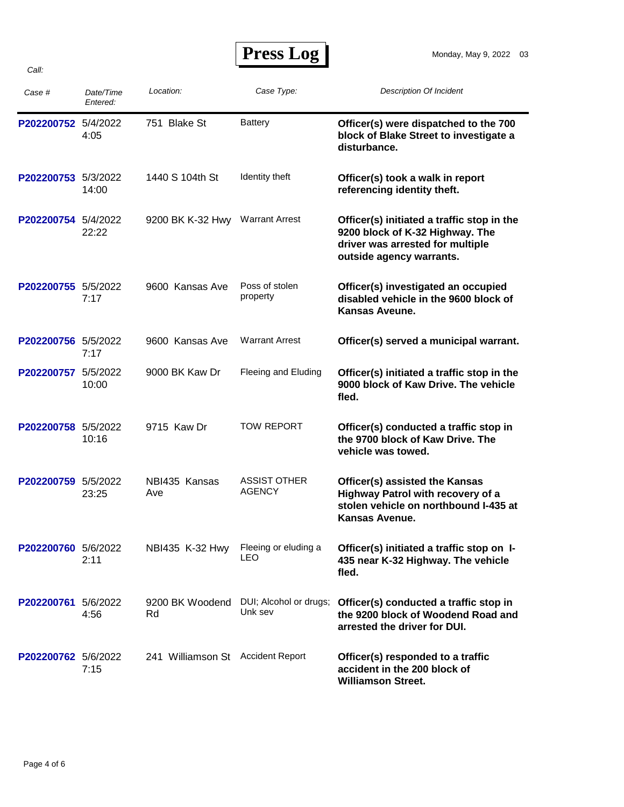| <b>Press Log</b> |  |
|------------------|--|
|------------------|--|

| Case #              | Date/Time<br>Entered: | Location:                         | Case Type:                           | <b>Description Of Incident</b>                                                                                                                |
|---------------------|-----------------------|-----------------------------------|--------------------------------------|-----------------------------------------------------------------------------------------------------------------------------------------------|
| P202200752 5/4/2022 | 4:05                  | 751 Blake St                      | <b>Battery</b>                       | Officer(s) were dispatched to the 700<br>block of Blake Street to investigate a<br>disturbance.                                               |
| P202200753 5/3/2022 | 14:00                 | 1440 S 104th St                   | Identity theft                       | Officer(s) took a walk in report<br>referencing identity theft.                                                                               |
| P202200754 5/4/2022 | 22:22                 | 9200 BK K-32 Hwy                  | <b>Warrant Arrest</b>                | Officer(s) initiated a traffic stop in the<br>9200 block of K-32 Highway. The<br>driver was arrested for multiple<br>outside agency warrants. |
| P202200755 5/5/2022 | 7:17                  | 9600 Kansas Ave                   | Poss of stolen<br>property           | Officer(s) investigated an occupied<br>disabled vehicle in the 9600 block of<br>Kansas Aveune.                                                |
| P202200756 5/5/2022 | 7:17                  | 9600 Kansas Ave                   | <b>Warrant Arrest</b>                | Officer(s) served a municipal warrant.                                                                                                        |
| P202200757 5/5/2022 | 10:00                 | 9000 BK Kaw Dr                    | Fleeing and Eluding                  | Officer(s) initiated a traffic stop in the<br>9000 block of Kaw Drive. The vehicle<br>fled.                                                   |
| P202200758 5/5/2022 | 10:16                 | 9715 Kaw Dr                       | <b>TOW REPORT</b>                    | Officer(s) conducted a traffic stop in<br>the 9700 block of Kaw Drive. The<br>vehicle was towed.                                              |
| P202200759 5/5/2022 | 23:25                 | NBI435 Kansas<br>Ave              | <b>ASSIST OTHER</b><br><b>AGENCY</b> | Officer(s) assisted the Kansas<br>Highway Patrol with recovery of a<br>stolen vehicle on northbound I-435 at<br>Kansas Avenue.                |
| P202200760 5/6/2022 | 2:11                  | NBI435 K-32 Hwy                   | Fleeing or eluding a<br>LEO          | Officer(s) initiated a traffic stop on I-<br>435 near K-32 Highway. The vehicle<br>fled.                                                      |
| P202200761          | 5/6/2022<br>4:56      | 9200 BK Woodend<br>Rd             | DUI; Alcohol or drugs;<br>Unk sev    | Officer(s) conducted a traffic stop in<br>the 9200 block of Woodend Road and<br>arrested the driver for DUI.                                  |
| P202200762 5/6/2022 | 7:15                  | 241 Williamson St Accident Report |                                      | Officer(s) responded to a traffic<br>accident in the 200 block of<br><b>Williamson Street.</b>                                                |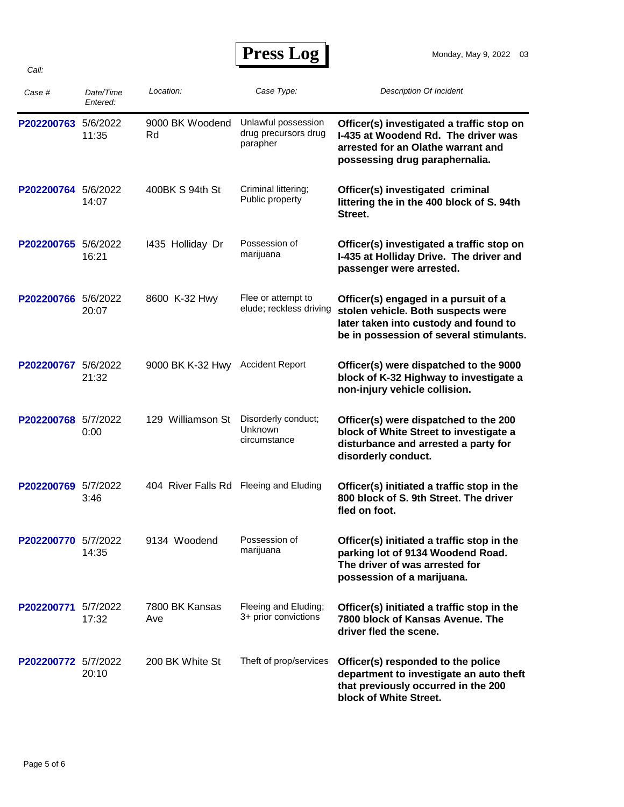## **Press Log**

| Case #              | Date/Time<br>Entered: | Location:                              | Case Type:                                              | <b>Description Of Incident</b>                                                                                                                                 |
|---------------------|-----------------------|----------------------------------------|---------------------------------------------------------|----------------------------------------------------------------------------------------------------------------------------------------------------------------|
| P202200763          | 5/6/2022<br>11:35     | 9000 BK Woodend<br>Rd                  | Unlawful possession<br>drug precursors drug<br>parapher | Officer(s) investigated a traffic stop on<br>I-435 at Woodend Rd. The driver was<br>arrested for an Olathe warrant and<br>possessing drug paraphernalia.       |
| P202200764 5/6/2022 | 14:07                 | 400BK S 94th St                        | Criminal littering;<br>Public property                  | Officer(s) investigated criminal<br>littering the in the 400 block of S. 94th<br>Street.                                                                       |
| P202200765 5/6/2022 | 16:21                 | 1435 Holliday Dr                       | Possession of<br>marijuana                              | Officer(s) investigated a traffic stop on<br>I-435 at Holliday Drive. The driver and<br>passenger were arrested.                                               |
| P202200766 5/6/2022 | 20:07                 | 8600 K-32 Hwy                          | Flee or attempt to<br>elude; reckless driving           | Officer(s) engaged in a pursuit of a<br>stolen vehicle. Both suspects were<br>later taken into custody and found to<br>be in possession of several stimulants. |
| P202200767 5/6/2022 | 21:32                 | 9000 BK K-32 Hwy Accident Report       |                                                         | Officer(s) were dispatched to the 9000<br>block of K-32 Highway to investigate a<br>non-injury vehicle collision.                                              |
| P202200768 5/7/2022 | 0:00                  | 129 Williamson St                      | Disorderly conduct;<br>Unknown<br>circumstance          | Officer(s) were dispatched to the 200<br>block of White Street to investigate a<br>disturbance and arrested a party for<br>disorderly conduct.                 |
| P202200769 5/7/2022 | 3:46                  | 404 River Falls Rd Fleeing and Eluding |                                                         | Officer(s) initiated a traffic stop in the<br>800 block of S. 9th Street. The driver<br>fled on foot.                                                          |
| P202200770 5/7/2022 | 14:35                 | 9134 Woodend                           | Possession of<br>marijuana                              | Officer(s) initiated a traffic stop in the<br>parking lot of 9134 Woodend Road.<br>The driver of was arrested for<br>possession of a marijuana.                |
| P202200771 5/7/2022 | 17:32                 | 7800 BK Kansas<br>Ave                  | Fleeing and Eluding;<br>3+ prior convictions            | Officer(s) initiated a traffic stop in the<br>7800 block of Kansas Avenue. The<br>driver fled the scene.                                                       |
| P202200772 5/7/2022 | 20:10                 | 200 BK White St                        | Theft of prop/services                                  | Officer(s) responded to the police<br>department to investigate an auto theft<br>that previously occurred in the 200<br>block of White Street.                 |